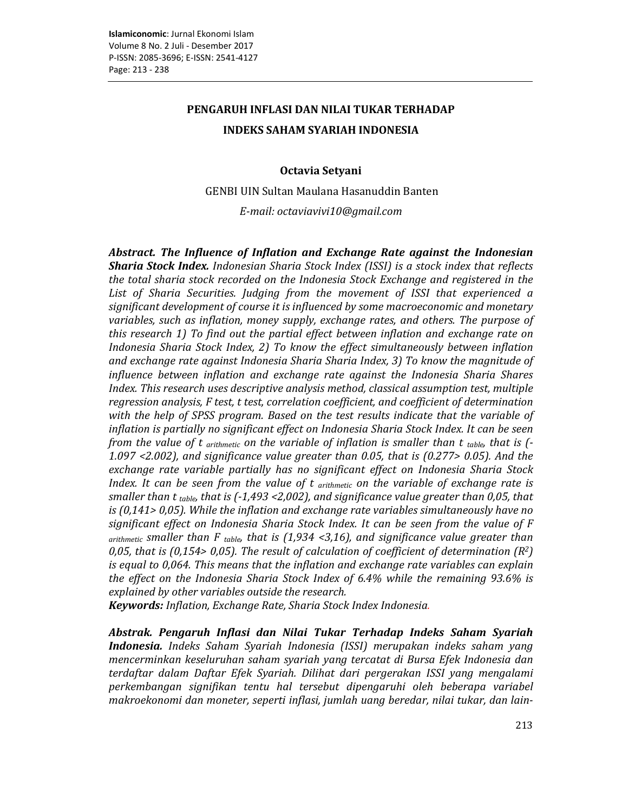## PENGARUH INFLASI DAN NILAI TUKAR TERHADAP **INDEKS SAHAM SYARIAH INDONESIA**

### Octavia Setyani

GENBI UIN Sultan Maulana Hasanuddin Banten

E-mail: octaviavivi10@gmail.com

Abstract. The Influence of Inflation and Exchange Rate against the Indonesian **Sharia Stock Index.** Indonesian Sharia Stock Index (ISSI) is a stock index that reflects the total sharia stock recorded on the Indonesia Stock Exchange and registered in the List of Sharia Securities. Judging from the movement of ISSI that experienced a significant development of course it is influenced by some macroeconomic and monetary variables, such as inflation, money supply, exchange rates, and others. The purpose of this research 1) To find out the partial effect between inflation and exchange rate on Indonesia Sharia Stock Index, 2) To know the effect simultaneously between inflation and exchange rate against Indonesia Sharia Sharia Index, 3) To know the magnitude of influence between inflation and exchange rate against the Indonesia Sharia Shares Index. This research uses descriptive analysis method, classical assumption test, multiple regression analysis, F test, t test, correlation coefficient, and coefficient of determination with the help of SPSS program. Based on the test results indicate that the variable of inflation is partially no significant effect on Indonesia Sharia Stock Index. It can be seen from the value of t arithmetic on the variable of inflation is smaller than t table, that is  $\left(-\right)$ 1.097 <2.002), and significance value greater than 0.05, that is  $(0.277> 0.05)$ . And the exchange rate variable partially has no significant effect on Indonesia Sharia Stock Index. It can be seen from the value of  $t$  arithmetic on the variable of exchange rate is smaller than t table, that is  $(-1.493 \le 2.002)$ , and significance value greater than 0.05, that is  $(0.141 > 0.05)$ . While the inflation and exchange rate variables simultaneously have no significant effect on Indonesia Sharia Stock Index. It can be seen from the value of F  $arithmetic$  smaller than F  $_{table}$  that is (1,934 <3,16), and significance value greater than 0,05, that is (0,154> 0,05). The result of calculation of coefficient of determination  $(R^2)$ is equal to 0,064. This means that the inflation and exchange rate variables can explain the effect on the Indonesia Sharia Stock Index of 6.4% while the remaining 93.6% is explained by other variables outside the research.

**Keywords:** Inflation, Exchange Rate, Sharia Stock Index Indonesia.

Abstrak. Pengaruh Inflasi dan Nilai Tukar Terhadap Indeks Saham Syariah **Indonesia.** Indeks Saham Syariah Indonesia (ISSI) merupakan indeks saham yang mencerminkan keseluruhan saham syariah yang tercatat di Bursa Efek Indonesia dan terdaftar dalam Daftar Efek Syariah. Dilihat dari pergerakan ISSI yang mengalami perkembangan signifikan tentu hal tersebut dipengaruhi oleh beberapa variabel makroekonomi dan moneter, seperti inflasi, jumlah uang beredar, nilai tukar, dan lain-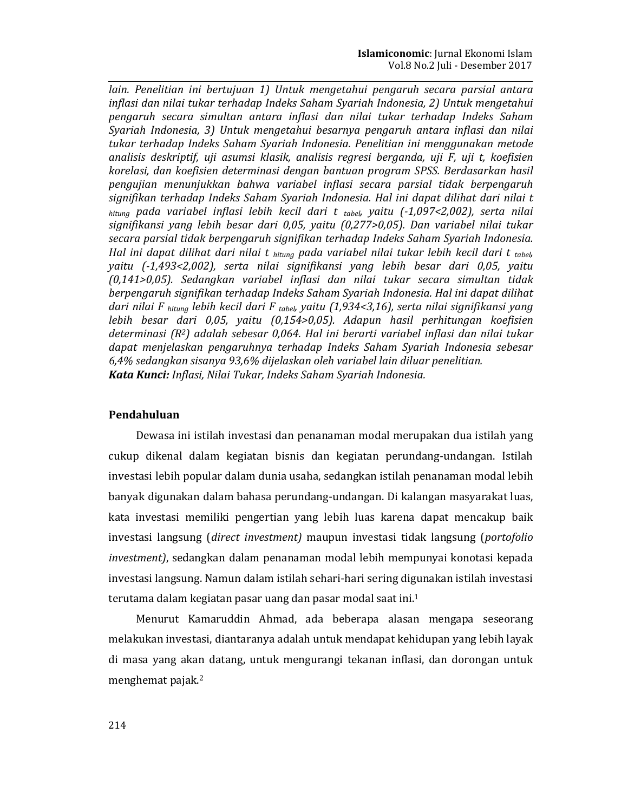lain. Penelitian ini bertujuan 1) Untuk mengetahui pengaruh secara parsial antara inflasi dan nilai tukar terhadap Indeks Saham Syariah Indonesia, 2) Untuk mengetahui pengaruh secara simultan antara inflasi dan nilai tukar terhadap Indeks Saham Syariah Indonesia, 3) Untuk mengetahui besarnya pengaruh antara inflasi dan nilai tukar terhadap Indeks Saham Svariah Indonesia. Penelitian ini mengaunakan metode analisis deskriptif, uji asumsi klasik, analisis regresi berganda, uji F, uji t, koefisien korelasi, dan koefisien determinasi dengan bantuan program SPSS. Berdasarkan hasil pengujian menunjukkan bahwa variabel inflasi secara parsial tidak berpengaruh signifikan terhadap Indeks Saham Syariah Indonesia. Hal ini dapat dilihat dari nilai t bitung pada variabel inflasi lebih kecil dari t tabel, yaitu (-1,097<2,002), serta nilai signifikansi yang lebih besar dari 0,05, yaitu (0,277>0,05). Dan variabel nilai tukar secara parsial tidak berpengaruh signifikan terhadap Indeks Saham Syariah Indonesia. Hal ini dapat dilihat dari nilai t <sub>hitung</sub> pada variabel nilai tukar lebih kecil dari t tabel, yaitu (-1,493<2,002), serta nilai signifikansi yang lebih besar dari 0,05, yaitu (0,141>0,05). Sedangkan variabel inflasi dan nilai tukar secara simultan tidak berpengaruh signifikan terhadap Indeks Saham Syariah Indonesia. Hal ini dapat dilihat dari nilai F hitung lebih kecil dari F tabel, yaitu (1,934<3,16), serta nilai signifikansi yang lebih besar dari 0,05, yaitu (0,154>0,05). Adapun hasil perhitungan koefisien determinasi (R<sup>2</sup>) adalah sebesar 0,064. Hal ini berarti variabel inflasi dan nilai tukar dapat menjelaskan pengaruhnya terhadap Indeks Saham Syariah Indonesia sebesar 6,4% sedangkan sisanya 93,6% dijelaskan oleh variabel lain diluar penelitian. Kata Kunci: Inflasi, Nilai Tukar, Indeks Saham Syariah Indonesia.

### Pendahuluan

Dewasa ini istilah investasi dan penanaman modal merupakan dua istilah yang cukup dikenal dalam kegiatan bisnis dan kegiatan perundang-undangan. Istilah investasi lebih popular dalam dunia usaha, sedangkan istilah penanaman modal lebih banyak digunakan dalam bahasa perundang-undangan. Di kalangan masyarakat luas, kata investasi memiliki pengertian yang lebih luas karena dapat mencakup baik investasi langsung (direct investment) maupun investasi tidak langsung (portofolio investment), sedangkan dalam penanaman modal lebih mempunyai konotasi kepada investasi langsung. Namun dalam istilah sehari-hari sering digunakan istilah investasi terutama dalam kegiatan pasar uang dan pasar modal saat ini.<sup>1</sup>

Menurut Kamaruddin Ahmad, ada beberapa alasan mengapa seseorang melakukan investasi, diantaranya adalah untuk mendapat kehidupan yang lebih layak di masa yang akan datang, untuk mengurangi tekanan inflasi, dan dorongan untuk menghemat pajak.<sup>2</sup>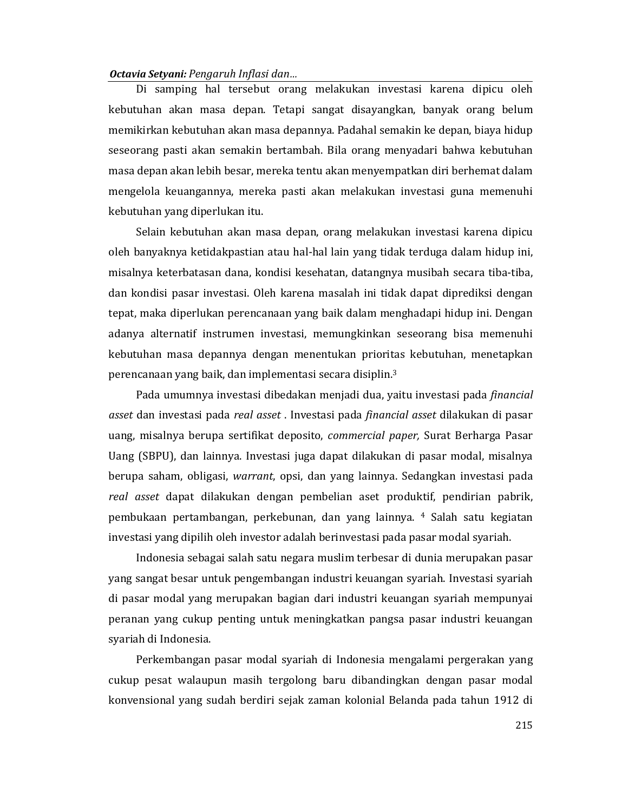Di samping hal tersebut orang melakukan investasi karena dipicu oleh kebutuhan akan masa depan. Tetapi sangat disayangkan, banyak orang belum memikirkan kebutuhan akan masa depannya. Padahal semakin ke depan, biaya hidup seseorang pasti akan semakin bertambah. Bila orang menyadari bahwa kebutuhan masa depan akan lebih besar, mereka tentu akan menyempatkan diri berhemat dalam mengelola keuangannya, mereka pasti akan melakukan investasi guna memenuhi kebutuhan yang diperlukan itu.

Selain kebutuhan akan masa depan, orang melakukan investasi karena dipicu oleh banyaknya ketidakpastian atau hal-hal lain yang tidak terduga dalam hidup ini, misalnya keterbatasan dana, kondisi kesehatan, datangnya musibah secara tiba-tiba, dan kondisi pasar investasi. Oleh karena masalah ini tidak dapat diprediksi dengan tepat, maka diperlukan perencanaan yang baik dalam menghadapi hidup ini. Dengan adanya alternatif instrumen investasi, memungkinkan seseorang bisa memenuhi kebutuhan masa depannya dengan menentukan prioritas kebutuhan, menetapkan perencanaan yang baik, dan implementasi secara disiplin.<sup>3</sup>

Pada umumnya investasi dibedakan menjadi dua, yaitu investasi pada *financial* asset dan investasi pada real asset. Investasi pada financial asset dilakukan di pasar uang, misalnya berupa sertifikat deposito, *commercial paper*, Surat Berharga Pasar Uang (SBPU), dan lainnya. Investasi juga dapat dilakukan di pasar modal, misalnya berupa saham, obligasi, warrant, opsi, dan yang lainnya. Sedangkan investasi pada real asset dapat dilakukan dengan pembelian aset produktif, pendirian pabrik, pembukaan pertambangan, perkebunan, dan yang lainnya. 4 Salah satu kegiatan investasi yang dipilih oleh investor adalah berinvestasi pada pasar modal syariah.

Indonesia sebagai salah satu negara muslim terbesar di dunia merupakan pasar yang sangat besar untuk pengembangan industri keuangan syariah. Investasi syariah di pasar modal yang merupakan bagian dari industri keuangan syariah mempunyai peranan yang cukup penting untuk meningkatkan pangsa pasar industri keuangan svariah di Indonesia.

Perkembangan pasar modal syariah di Indonesia mengalami pergerakan yang cukup pesat walaupun masih tergolong baru dibandingkan dengan pasar modal konvensional yang sudah berdiri sejak zaman kolonial Belanda pada tahun 1912 di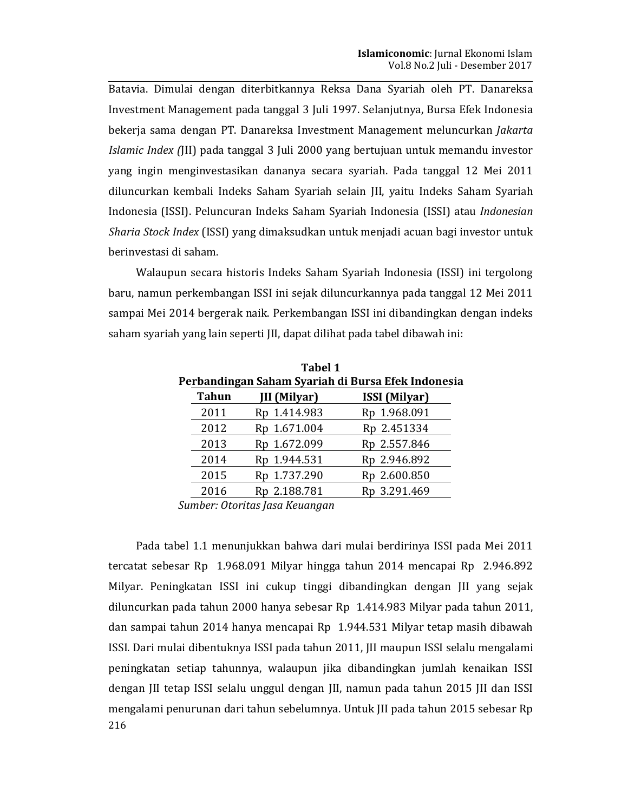Batavia. Dimulai dengan diterbitkannya Reksa Dana Syariah oleh PT. Danareksa Investment Management pada tanggal 3 Juli 1997. Selanjutnya, Bursa Efek Indonesia bekerja sama dengan PT. Danareksa Investment Management meluncurkan Jakarta Islamic Index (III) pada tanggal 3 Juli 2000 yang bertujuan untuk memandu investor yang ingin menginvestasikan dananya secara syariah. Pada tanggal 12 Mei 2011 diluncurkan kembali Indeks Saham Syariah selain JII, yaitu Indeks Saham Syariah Indonesia (ISSI). Peluncuran Indeks Saham Syariah Indonesia (ISSI) atau Indonesian Sharia Stock Index (ISSI) yang dimaksudkan untuk menjadi acuan bagi investor untuk berinvestasi di saham.

Walaupun secara historis Indeks Saham Svariah Indonesia (ISSI) ini tergolong baru, namun perkembangan ISSI ini sejak diluncurkannya pada tanggal 12 Mei 2011 sampai Mei 2014 bergerak naik. Perkembangan ISSI ini dibandingkan dengan indeks saham syariah yang lain seperti JII, dapat dilihat pada tabel dibawah ini:

| Lawel 1                                            |                     |                      |  |  |  |  |  |  |
|----------------------------------------------------|---------------------|----------------------|--|--|--|--|--|--|
| 'erbandingan Saham Syariah di Bursa Efek Indonesia |                     |                      |  |  |  |  |  |  |
| <b>Tahun</b>                                       | <b>JII</b> (Milyar) | <b>ISSI</b> (Milyar) |  |  |  |  |  |  |
| 2011                                               | Rp 1.414.983        | Rp 1.968.091         |  |  |  |  |  |  |
| 2012                                               | Rp 1.671.004        | Rp 2.451334          |  |  |  |  |  |  |
| 2013                                               | Rp 1.672.099        | Rp 2.557.846         |  |  |  |  |  |  |
| 2014                                               | Rp 1.944.531        | Rp 2.946.892         |  |  |  |  |  |  |
| 2015                                               | Rp 1.737.290        | Rp 2.600.850         |  |  |  |  |  |  |
| 2016                                               | Rp 2.188.781        | Rp 3.291.469         |  |  |  |  |  |  |

 $T = 1.14$  $\mathbf{P}$ 

Sumber: Otoritas Jasa Keuangan

Pada tabel 1.1 menunjukkan bahwa dari mulai berdirinya ISSI pada Mei 2011 tercatat sebesar Rp 1.968.091 Milyar hingga tahun 2014 mencapai Rp 2.946.892 Milyar. Peningkatan ISSI ini cukup tinggi dibandingkan dengan III yang sejak diluncurkan pada tahun 2000 hanya sebesar Rp 1.414.983 Milyar pada tahun 2011, dan sampai tahun 2014 hanya mencapai Rp 1.944.531 Milyar tetap masih dibawah ISSI. Dari mulai dibentuknya ISSI pada tahun 2011, JII maupun ISSI selalu mengalami peningkatan setiap tahunnya, walaupun jika dibandingkan jumlah kenaikan ISSI dengan JII tetap ISSI selalu unggul dengan JII, namun pada tahun 2015 JII dan ISSI mengalami penurunan dari tahun sebelumnya. Untuk JII pada tahun 2015 sebesar Rp 216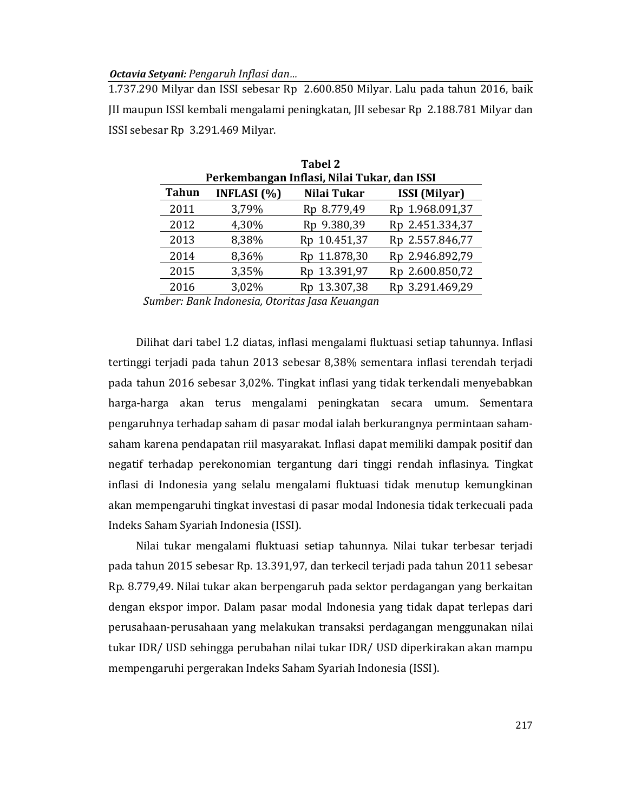1.737.290 Milyar dan ISSI sebesar Rp 2.600.850 Milyar. Lalu pada tahun 2016, baik III maupun ISSI kembali mengalami peningkatan, III sebesar Rp 2.188.781 Milyar dan ISSI sebesar Rp 3.291.469 Milyar.

| Tabel 2                                                                      |       |              |                 |  |  |  |  |  |
|------------------------------------------------------------------------------|-------|--------------|-----------------|--|--|--|--|--|
| Perkembangan Inflasi, Nilai Tukar, dan ISSI                                  |       |              |                 |  |  |  |  |  |
| <b>Tahun</b><br><b>INFLASI</b> $(% )$<br>Nilai Tukar<br><b>ISSI</b> (Milyar) |       |              |                 |  |  |  |  |  |
| 2011                                                                         | 3,79% | Rp 8.779,49  | Rp 1.968.091,37 |  |  |  |  |  |
| 2012                                                                         | 4,30% | Rp 9.380,39  | Rp 2.451.334,37 |  |  |  |  |  |
| 2013                                                                         | 8,38% | Rp 10.451,37 | Rp 2.557.846,77 |  |  |  |  |  |
| 2014                                                                         | 8,36% | Rp 11.878,30 | Rp 2.946.892,79 |  |  |  |  |  |
| 2015                                                                         | 3,35% | Rp 13.391,97 | Rp 2.600.850,72 |  |  |  |  |  |
| 2016                                                                         | 3,02% | Rp 13.307,38 | Rp 3.291.469,29 |  |  |  |  |  |

Sumber: Bank Indonesia, Otoritas Jasa Keuangan

Dilihat dari tabel 1.2 diatas, inflasi mengalami fluktuasi setiap tahunnya. Inflasi tertinggi terjadi pada tahun 2013 sebesar 8,38% sementara inflasi terendah terjadi pada tahun 2016 sebesar 3,02%. Tingkat inflasi yang tidak terkendali menyebabkan harga-harga akan terus mengalami peningkatan secara umum. Sementara pengaruhnya terhadap saham di pasar modal ialah berkurangnya permintaan sahamsaham karena pendapatan riil masyarakat. Inflasi dapat memiliki dampak positif dan negatif terhadap perekonomian tergantung dari tinggi rendah inflasinya. Tingkat inflasi di Indonesia yang selalu mengalami fluktuasi tidak menutup kemungkinan akan mempengaruhi tingkat investasi di pasar modal Indonesia tidak terkecuali pada Indeks Saham Syariah Indonesia (ISSI).

Nilai tukar mengalami fluktuasi setiap tahunnya. Nilai tukar terbesar terjadi pada tahun 2015 sebesar Rp. 13.391,97, dan terkecil terjadi pada tahun 2011 sebesar Rp. 8.779,49. Nilai tukar akan berpengaruh pada sektor perdagangan yang berkaitan dengan ekspor impor. Dalam pasar modal Indonesia yang tidak dapat terlepas dari perusahaan-perusahaan yang melakukan transaksi perdagangan menggunakan nilai tukar IDR/ USD sehingga perubahan nilai tukar IDR/ USD diperkirakan akan mampu mempengaruhi pergerakan Indeks Saham Syariah Indonesia (ISSI).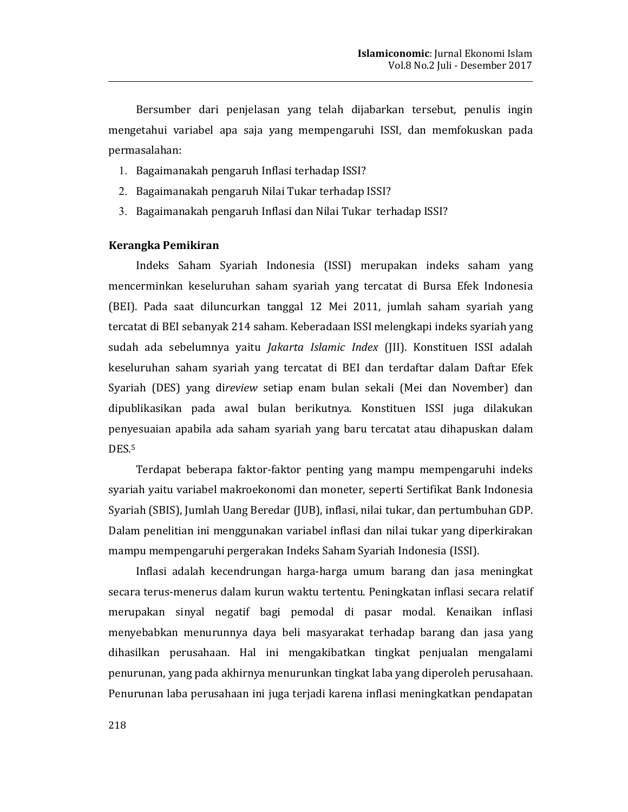Bersumber dari penjelasan yang telah dijabarkan tersebut, penulis ingin mengetahui variabel apa saja yang mempengaruhi ISSI, dan memfokuskan pada permasalahan:

- 1. Bagaimanakah pengaruh Inflasi terhadap ISSI?
- 2. Bagaimanakah pengaruh Nilai Tukar terhadap ISSI?
- 3. Bagaimanakah pengaruh Inflasi dan Nilai Tukar terhadap ISSI?

### Kerangka Pemikiran

Indeks Saham Syariah Indonesia (ISSI) merupakan indeks saham yang mencerminkan keseluruhan saham syariah yang tercatat di Bursa Efek Indonesia (BEI). Pada saat diluncurkan tanggal 12 Mei 2011, jumlah saham syariah yang tercatat di BEI sebanyak 214 saham. Keberadaan ISSI melengkapi indeks syariah yang sudah ada sebelumnya yaitu *Jakarta Islamic Index* (JII). Konstituen ISSI adalah keseluruhan saham syariah yang tercatat di BEI dan terdaftar dalam Daftar Efek Syariah (DES) yang direview setiap enam bulan sekali (Mei dan November) dan dipublikasikan pada awal bulan berikutnya. Konstituen ISSI juga dilakukan penyesuaian apabila ada saham syariah yang baru tercatat atau dihapuskan dalam DES<sub>.5</sub>

Terdapat beberapa faktor-faktor penting yang mampu mempengaruhi indeks syariah yaitu variabel makroekonomi dan moneter, seperti Sertifikat Bank Indonesia Syariah (SBIS), Jumlah Uang Beredar (JUB), inflasi, nilai tukar, dan pertumbuhan GDP. Dalam penelitian ini menggunakan variabel inflasi dan nilai tukar yang diperkirakan mampu mempengaruhi pergerakan Indeks Saham Syariah Indonesia (ISSI).

Inflasi adalah kecendrungan harga-harga umum barang dan jasa meningkat secara terus-menerus dalam kurun waktu tertentu. Peningkatan inflasi secara relatif merupakan sinyal negatif bagi pemodal di pasar modal. Kenaikan inflasi menyebabkan menurunnya daya beli masyarakat terhadap barang dan jasa yang dihasilkan perusahaan. Hal ini mengakibatkan tingkat penjualan mengalami penurunan, yang pada akhirnya menurunkan tingkat laba yang diperoleh perusahaan. Penurunan laba perusahaan ini juga terjadi karena inflasi meningkatkan pendapatan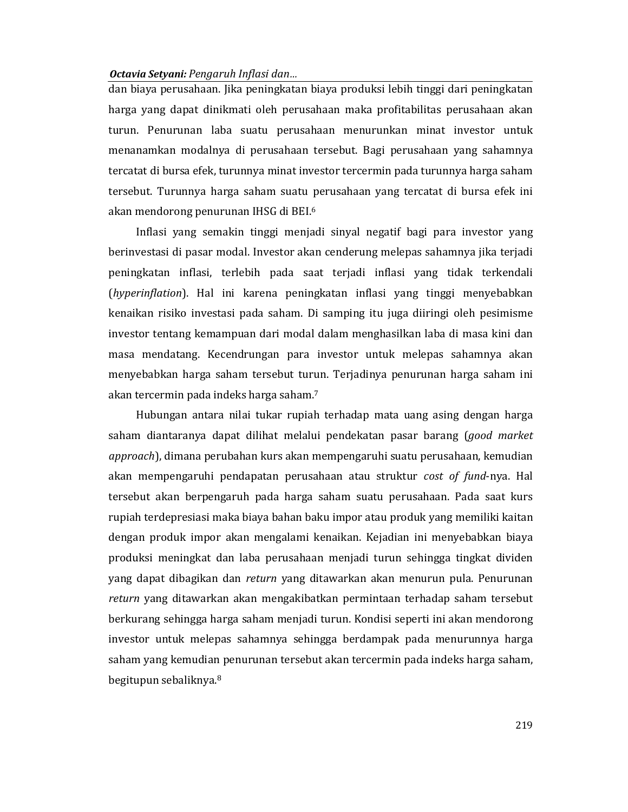dan biaya perusahaan. Jika peningkatan biaya produksi lebih tinggi dari peningkatan harga yang dapat dinikmati oleh perusahaan maka profitabilitas perusahaan akan turun. Penurunan laba suatu perusahaan menurunkan minat investor untuk menanamkan modalnya di perusahaan tersebut. Bagi perusahaan yang sahamnya tercatat di bursa efek, turunnya minat investor tercermin pada turunnya harga saham tersebut. Turunnya harga saham suatu perusahaan yang tercatat di bursa efek ini akan mendorong penurunan IHSG di BEI.<sup>6</sup>

Inflasi yang semakin tinggi menjadi sinyal negatif bagi para investor yang berinvestasi di pasar modal. Investor akan cenderung melepas sahamnya jika terjadi peningkatan inflasi, terlebih pada saat terjadi inflasi yang tidak terkendali (hyperinflation). Hal ini karena peningkatan inflasi yang tinggi menyebabkan kenaikan risiko investasi pada saham. Di samping itu juga diiringi oleh pesimisme investor tentang kemampuan dari modal dalam menghasilkan laba di masa kini dan masa mendatang. Kecendrungan para investor untuk melepas sahamnya akan menyebabkan harga saham tersebut turun. Terjadinya penurunan harga saham ini akan tercermin pada indeks harga saham.<sup>7</sup>

Hubungan antara nilai tukar rupiah terhadap mata uang asing dengan harga saham diantaranya dapat dilihat melalui pendekatan pasar barang (*good market* approach), dimana perubahan kurs akan mempengaruhi suatu perusahaan, kemudian akan mempengaruhi pendapatan perusahaan atau struktur cost of fund-nya. Hal tersebut akan berpengaruh pada harga saham suatu perusahaan. Pada saat kurs rupiah terdepresiasi maka biaya bahan baku impor atau produk yang memiliki kaitan dengan produk impor akan mengalami kenaikan. Kejadian ini menyebabkan biaya produksi meningkat dan laba perusahaan menjadi turun sehingga tingkat dividen yang dapat dibagikan dan return yang ditawarkan akan menurun pula. Penurunan return yang ditawarkan akan mengakibatkan permintaan terhadap saham tersebut berkurang sehingga harga saham menjadi turun. Kondisi seperti ini akan mendorong investor untuk melepas sahamnya sehingga berdampak pada menurunnya harga saham yang kemudian penurunan tersebut akan tercermin pada indeks harga saham, begitupun sebaliknya.<sup>8</sup>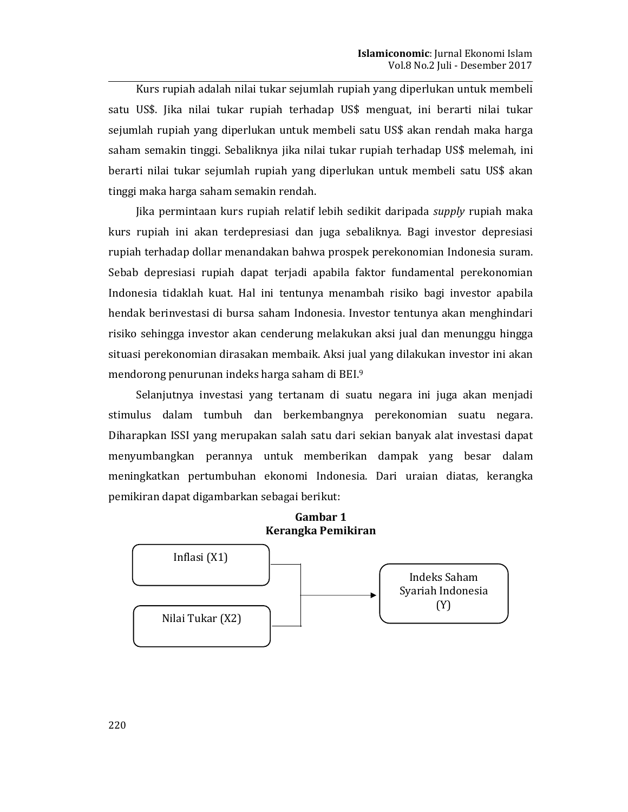Kurs rupiah adalah nilai tukar sejumlah rupiah yang diperlukan untuk membeli satu US\$. Jika nilai tukar rupiah terhadap US\$ menguat, ini berarti nilai tukar sejumlah rupiah yang diperlukan untuk membeli satu US\$ akan rendah maka harga saham semakin tinggi. Sebaliknya jika nilai tukar rupiah terhadap US\$ melemah, ini berarti nilai tukar sejumlah rupiah yang diperlukan untuk membeli satu US\$ akan tinggi maka harga saham semakin rendah.

Jika permintaan kurs rupiah relatif lebih sedikit daripada supply rupiah maka kurs rupiah ini akan terdepresiasi dan juga sebaliknya. Bagi investor depresiasi rupiah terhadap dollar menandakan bahwa prospek perekonomian Indonesia suram. Sebab depresiasi rupiah dapat teriadi apabila faktor fundamental perekonomian Indonesia tidaklah kuat. Hal ini tentunya menambah risiko bagi investor apabila hendak berinvestasi di bursa saham Indonesia. Investor tentunya akan menghindari risiko sehingga investor akan cenderung melakukan aksi jual dan menunggu hingga situasi perekonomian dirasakan membaik. Aksi jual yang dilakukan investor ini akan mendorong penurunan indeks harga saham di BEI.<sup>9</sup>

Selanjutnya investasi yang tertanam di suatu negara ini juga akan menjadi stimulus dalam tumbuh dan berkembangnya perekonomian suatu negara. Diharapkan ISSI yang merupakan salah satu dari sekian banyak alat investasi dapat menyumbangkan perannya untuk memberikan dampak yang besar dalam meningkatkan pertumbuhan ekonomi Indonesia. Dari uraian diatas, kerangka pemikiran dapat digambarkan sebagai berikut:

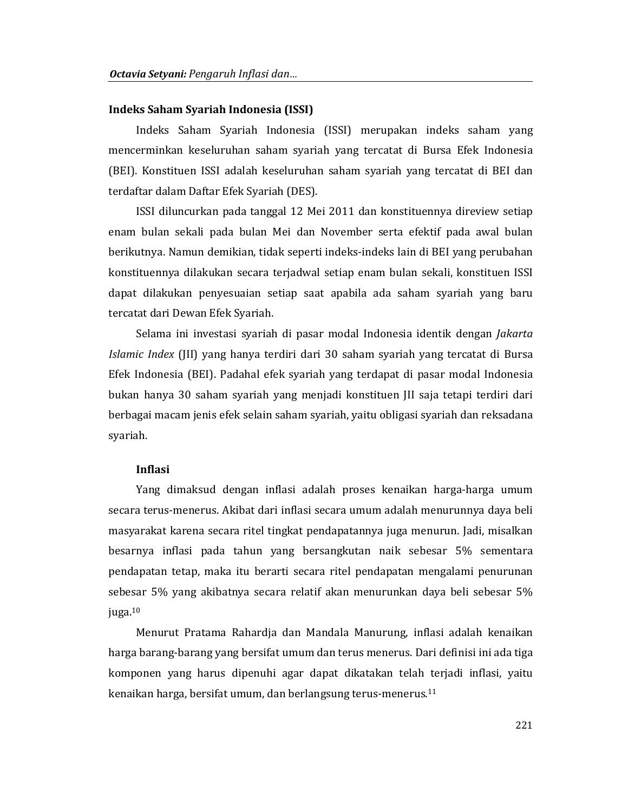#### Indeks Saham Syariah Indonesia (ISSI)

Indeks Saham Syariah Indonesia (ISSI) merupakan indeks saham yang mencerminkan keseluruhan saham syariah yang tercatat di Bursa Efek Indonesia (BEI). Konstituen ISSI adalah keseluruhan saham syariah yang tercatat di BEI dan terdaftar dalam Daftar Efek Syariah (DES).

ISSI diluncurkan pada tanggal 12 Mei 2011 dan konstituennya direview setiap enam bulan sekali pada bulan Mei dan November serta efektif pada awal bulan berikutnya. Namun demikian, tidak seperti indeks-indeks lain di BEI yang perubahan konstituennya dilakukan secara terjadwal setiap enam bulan sekali, konstituen ISSI dapat dilakukan penyesuaian setiap saat apabila ada saham syariah yang baru tercatat dari Dewan Efek Syariah.

Selama ini investasi syariah di pasar modal Indonesia identik dengan *Jakarta* Islamic Index (JII) yang hanya terdiri dari 30 saham syariah yang tercatat di Bursa Efek Indonesia (BEI). Padahal efek syariah yang terdapat di pasar modal Indonesia bukan hanya 30 saham syariah yang menjadi konstituen JII saja tetapi terdiri dari berbagai macam jenis efek selain saham syariah, yaitu obligasi syariah dan reksadana svariah.

### **Inflasi**

Yang dimaksud dengan inflasi adalah proses kenaikan harga-harga umum secara terus-menerus. Akibat dari inflasi secara umum adalah menurunnya daya beli masyarakat karena secara ritel tingkat pendapatannya juga menurun. Jadi, misalkan besarnya inflasi pada tahun yang bersangkutan naik sebesar 5% sementara pendapatan tetap, maka itu berarti secara ritel pendapatan mengalami penurunan sebesar 5% yang akibatnya secara relatif akan menurunkan daya beli sebesar 5% juga. $10$ 

Menurut Pratama Rahardia dan Mandala Manurung, inflasi adalah kenaikan harga barang-barang yang bersifat umum dan terus menerus. Dari definisi ini ada tiga komponen yang harus dipenuhi agar dapat dikatakan telah terjadi inflasi, yaitu kenaikan harga, bersifat umum, dan berlangsung terus-menerus.<sup>11</sup>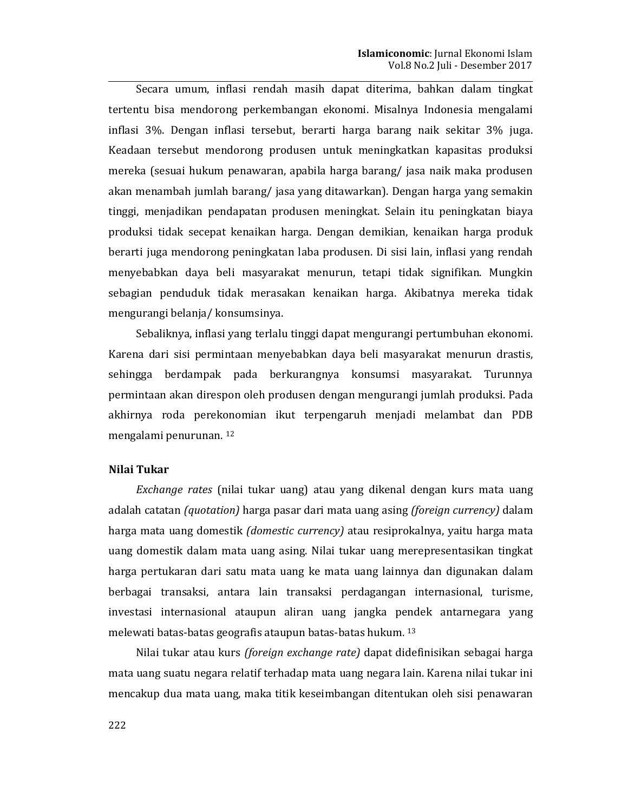Secara umum, inflasi rendah masih dapat diterima, bahkan dalam tingkat tertentu bisa mendorong perkembangan ekonomi. Misalnya Indonesia mengalami inflasi 3%. Dengan inflasi tersebut, berarti harga barang naik sekitar 3% juga. Keadaan tersebut mendorong produsen untuk meningkatkan kapasitas produksi mereka (sesuai hukum penawaran, apabila harga barang/jasa naik maka produsen akan menambah jumlah barang/ jasa yang ditawarkan). Dengan harga yang semakin tinggi, menjadikan pendapatan produsen meningkat. Selain itu peningkatan biaya produksi tidak secepat kenaikan harga. Dengan demikian, kenaikan harga produk berarti juga mendorong peningkatan laba produsen. Di sisi lain, inflasi yang rendah menyebabkan daya beli masyarakat menurun, tetapi tidak signifikan. Mungkin sebagian penduduk tidak merasakan kenaikan harga. Akibatnya mereka tidak mengurangi belanja/konsumsinya.

Sebaliknya, inflasi yang terlalu tinggi dapat mengurangi pertumbuhan ekonomi. Karena dari sisi permintaan menyebabkan daya beli masyarakat menurun drastis, sehingga berdampak pada berkurangnya konsumsi masyarakat. Turunnya permintaan akan direspon oleh produsen dengan mengurangi jumlah produksi. Pada akhirnya roda perekonomian ikut terpengaruh menjadi melambat dan PDB mengalami penurunan.<sup>12</sup>

### Nilai Tukar

Exchange rates (nilai tukar uang) atau yang dikenal dengan kurs mata uang adalah catatan (quotation) harga pasar dari mata uang asing (foreign currency) dalam harga mata uang domestik (domestic currency) atau resiprokalnya, yaitu harga mata uang domestik dalam mata uang asing. Nilai tukar uang merepresentasikan tingkat harga pertukaran dari satu mata uang ke mata uang lainnya dan digunakan dalam berbagai transaksi, antara lain transaksi perdagangan internasional, turisme, investasi internasional ataupun aliran uang jangka pendek antarnegara yang melewati batas-batas geografis ataupun batas-batas hukum. 13

Nilai tukar atau kurs (foreign exchange rate) dapat didefinisikan sebagai harga mata uang suatu negara relatif terhadap mata uang negara lain. Karena nilai tukar ini mencakup dua mata uang, maka titik keseimbangan ditentukan oleh sisi penawaran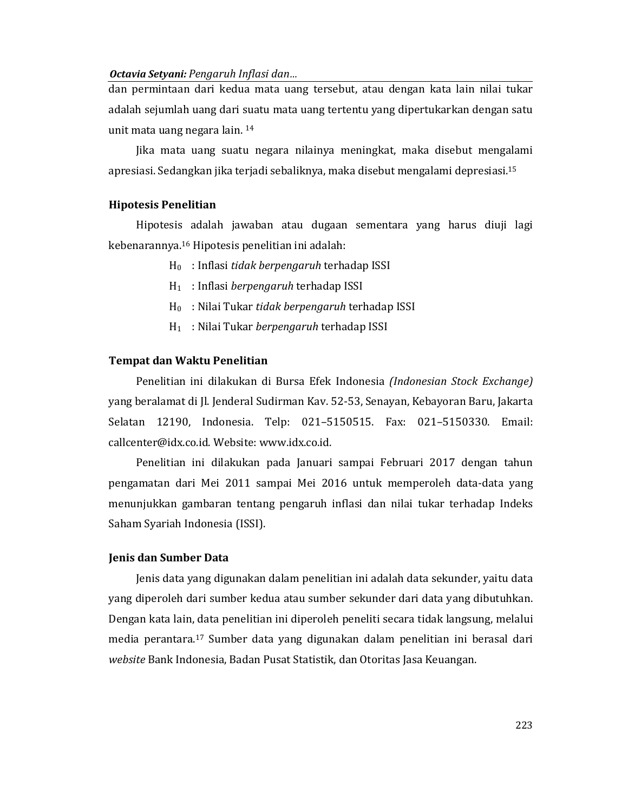dan permintaan dari kedua mata uang tersebut, atau dengan kata lain nilai tukar adalah sejumlah uang dari suatu mata uang tertentu yang dipertukarkan dengan satu unit mata uang negara lain. 14

Jika mata uang suatu negara nilainya meningkat, maka disebut mengalami apresiasi. Sedangkan jika terjadi sebaliknya, maka disebut mengalami depresiasi.<sup>15</sup>

### **Hipotesis Penelitian**

Hipotesis adalah jawaban atau dugaan sementara yang harus diuji lagi kebenarannya.<sup>16</sup> Hipotesis penelitian ini adalah:

- $H_0$ : Inflasi tidak berpengaruh terhadap ISSI
- $H_1$ : Inflasi berpengaruh terhadap ISSI
- $H_0$ : Nilai Tukar tidak berpengaruh terhadap ISSI
- $H_1$  : Nilai Tukar berpengaruh terhadap ISSI

### Tempat dan Waktu Penelitian

Penelitian ini dilakukan di Bursa Efek Indonesia (Indonesian Stock Exchange) yang beralamat di Jl. Jenderal Sudirman Kav. 52-53, Senayan, Kebayoran Baru, Jakarta Selatan 12190, Indonesia. Telp: 021-5150515. Fax: 021-5150330. Email: callcenter@idx.co.id. Website: www.idx.co.id.

Penelitian ini dilakukan pada Januari sampai Februari 2017 dengan tahun pengamatan dari Mei 2011 sampai Mei 2016 untuk memperoleh data-data yang menunjukkan gambaran tentang pengaruh inflasi dan nilai tukar terhadap Indeks Saham Syariah Indonesia (ISSI).

### **Jenis dan Sumber Data**

Jenis data yang digunakan dalam penelitian ini adalah data sekunder, yaitu data yang diperoleh dari sumber kedua atau sumber sekunder dari data yang dibutuhkan. Dengan kata lain, data penelitian ini diperoleh peneliti secara tidak langsung, melalui media perantara.<sup>17</sup> Sumber data yang digunakan dalam penelitian ini berasal dari website Bank Indonesia, Badan Pusat Statistik, dan Otoritas Jasa Keuangan.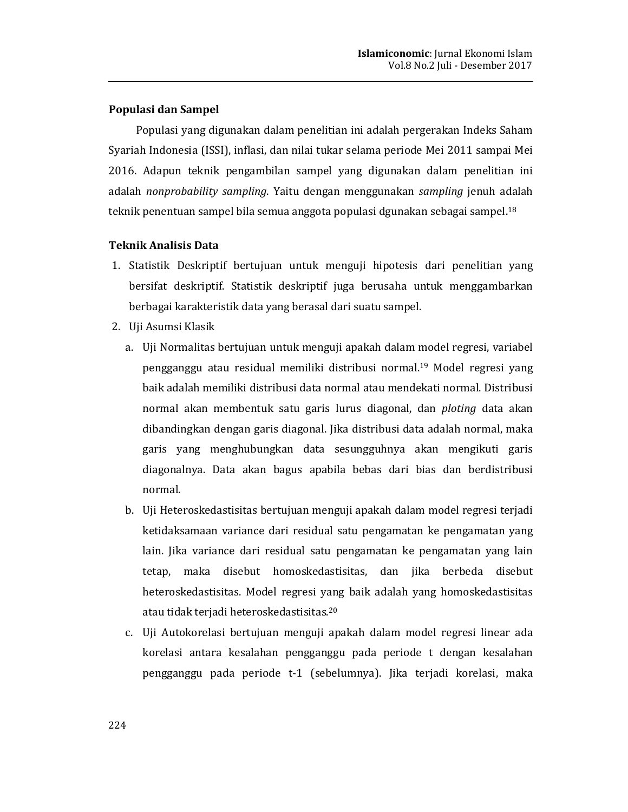### Populasi dan Sampel

Populasi yang digunakan dalam penelitian ini adalah pergerakan Indeks Saham Syariah Indonesia (ISSI), inflasi, dan nilai tukar selama periode Mei 2011 sampai Mei 2016. Adapun teknik pengambilan sampel yang digunakan dalam penelitian ini adalah nonprobability sampling. Yaitu dengan menggunakan sampling jenuh adalah teknik penentuan sampel bila semua anggota populasi dgunakan sebagai sampel.<sup>18</sup>

### **Teknik Analisis Data**

- 1. Statistik Deskriptif bertujuan untuk menguji hipotesis dari penelitian yang bersifat deskriptif. Statistik deskriptif juga berusaha untuk menggambarkan berbagai karakteristik data yang berasal dari suatu sampel.
- 2. Uji Asumsi Klasik
	- a. Uji Normalitas bertujuan untuk menguji apakah dalam model regresi, variabel pengganggu atau residual memiliki distribusi normal.<sup>19</sup> Model regresi yang baik adalah memiliki distribusi data normal atau mendekati normal. Distribusi normal akan membentuk satu garis lurus diagonal, dan *ploting* data akan dibandingkan dengan garis diagonal. Jika distribusi data adalah normal, maka garis yang menghubungkan data sesungguhnya akan mengikuti garis diagonalnya. Data akan bagus apabila bebas dari bias dan berdistribusi normal.
	- b. Uji Heteroskedastisitas bertujuan menguji apakah dalam model regresi terjadi ketidaksamaan variance dari residual satu pengamatan ke pengamatan yang lain. Jika variance dari residual satu pengamatan ke pengamatan yang lain tetap, maka disebut homoskedastisitas, dan jika berbeda disebut heteroskedastisitas. Model regresi yang baik adalah yang homoskedastisitas atau tidak terjadi heteroskedastisitas.<sup>20</sup>
	- c. Uji Autokorelasi bertujuan menguji apakah dalam model regresi linear ada korelasi antara kesalahan pengganggu pada periode t dengan kesalahan pengganggu pada periode t-1 (sebelumnya). Jika terjadi korelasi, maka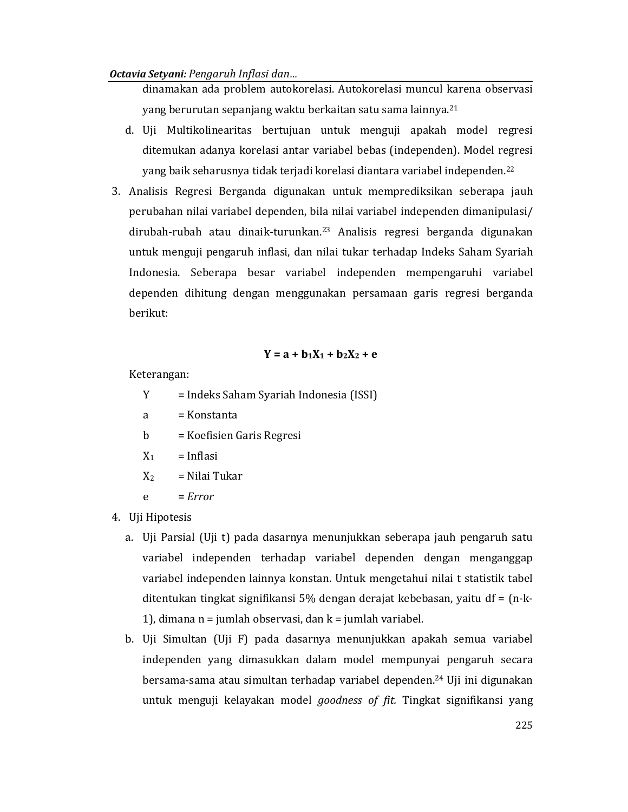dinamakan ada problem autokorelasi. Autokorelasi muncul karena observasi yang berurutan sepanjang waktu berkaitan satu sama lainnya.<sup>21</sup>

- d. Uji Multikolinearitas bertujuan untuk menguji apakah model regresi ditemukan adanya korelasi antar variabel bebas (independen). Model regresi yang baik seharusnya tidak terjadi korelasi diantara variabel independen.<sup>22</sup>
- 3. Analisis Regresi Berganda digunakan untuk memprediksikan seberapa jauh perubahan nilai variabel dependen, bila nilai variabel independen dimanipulasi/ dirubah-rubah atau dinaik-turunkan.<sup>23</sup> Analisis regresi berganda digunakan untuk menguji pengaruh inflasi, dan nilai tukar terhadap Indeks Saham Syariah Indonesia. Seberapa besar variabel independen mempengaruhi variabel dependen dihitung dengan menggunakan persamaan garis regresi berganda berikut:

## $Y = a + b_1X_1 + b_2X_2 + e$

Keterangan:

- Y = Indeks Saham Syariah Indonesia (ISSI)
- = Konstanta a
- = Koefisien Garis Regresi  $\mathbf b$
- $X_1$  $=$  Inflasi
- $X_2$ = Nilai Tukar
- $\mathbf{e}$  $= Error$
- 4. Uji Hipotesis
	- a. Uji Parsial (Uji t) pada dasarnya menunjukkan seberapa jauh pengaruh satu variabel independen terhadap variabel dependen dengan menganggap variabel independen lainnya konstan. Untuk mengetahui nilai t statistik tabel ditentukan tingkat signifikansi 5% dengan derajat kebebasan, yaitu d $f = (n-k-1)$ 1), dimana  $n =$  jumlah observasi, dan  $k =$  jumlah variabel.
	- b. Uji Simultan (Uji F) pada dasarnya menunjukkan apakah semua variabel independen yang dimasukkan dalam model mempunyai pengaruh secara bersama-sama atau simultan terhadap variabel dependen.<sup>24</sup> Uji ini digunakan untuk menguji kelayakan model *goodness of fit*. Tingkat signifikansi yang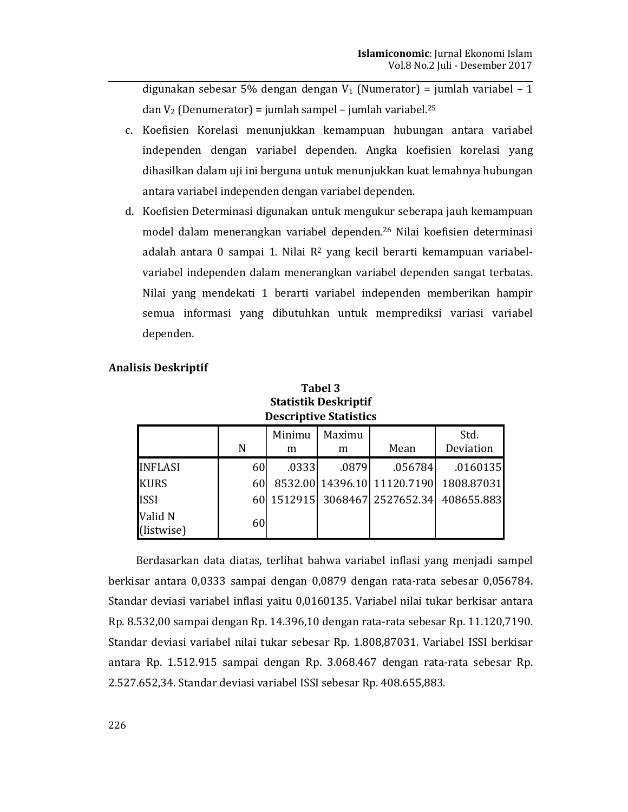digunakan sebesar 5% dengan dengan  $V_1$  (Numerator) = jumlah variabel - 1 dan  $V_2$  (Denumerator) = jumlah sampel – jumlah variabel.<sup>25</sup>

- c. Koefisien Korelasi menunjukkan kemampuan hubungan antara variabel independen dengan variabel dependen. Angka koefisien korelasi yang dihasilkan dalam uji ini berguna untuk menunjukkan kuat lemahnya hubungan antara variabel independen dengan variabel dependen.
- d. Koefisien Determinasi digunakan untuk mengukur seberapa jauh kemampuan model dalam menerangkan variabel dependen.<sup>26</sup> Nilai koefisien determinasi adalah antara 0 sampai 1. Nilai R<sup>2</sup> yang kecil berarti kemampuan variabelvariabel independen dalam menerangkan variabel dependen sangat terbatas. Nilai yang mendekati 1 berarti variabel independen memberikan hampir semua informasi yang dibutuhkan untuk memprediksi variasi variabel dependen.

| <b>Descriptive Statistics</b> |     |             |             |                               |                   |  |  |
|-------------------------------|-----|-------------|-------------|-------------------------------|-------------------|--|--|
|                               | N   | Minimu<br>m | Maximu<br>m | Mean                          | Std.<br>Deviation |  |  |
| <b>INFLASI</b>                | 60  | .0333       | .0879       | .056784                       | .0160135          |  |  |
| <b>KURS</b>                   | 60l |             |             | 8532.00 14396.10 11120.7190   | 1808.87031        |  |  |
| <b>ISSI</b>                   |     |             |             | 60 1512915 3068467 2527652.34 | 408655.883        |  |  |
| Valid N<br>(listwise)         | 60  |             |             |                               |                   |  |  |

## **Analisis Deskriptif**

# Tabel 3 **Statistik Deskriptif**

Berdasarkan data diatas, terlihat bahwa variabel inflasi yang menjadi sampel berkisar antara 0,0333 sampai dengan 0,0879 dengan rata-rata sebesar 0,056784. Standar deviasi variabel inflasi yaitu 0,0160135. Variabel nilai tukar berkisar antara Rp. 8.532,00 sampai dengan Rp. 14.396,10 dengan rata-rata sebesar Rp. 11.120,7190. Standar deviasi variabel nilai tukar sebesar Rp. 1.808,87031. Variabel ISSI berkisar antara Rp. 1.512.915 sampai dengan Rp. 3.068.467 dengan rata-rata sebesar Rp. 2.527.652,34. Standar deviasi variabel ISSI sebesar Rp. 408.655,883.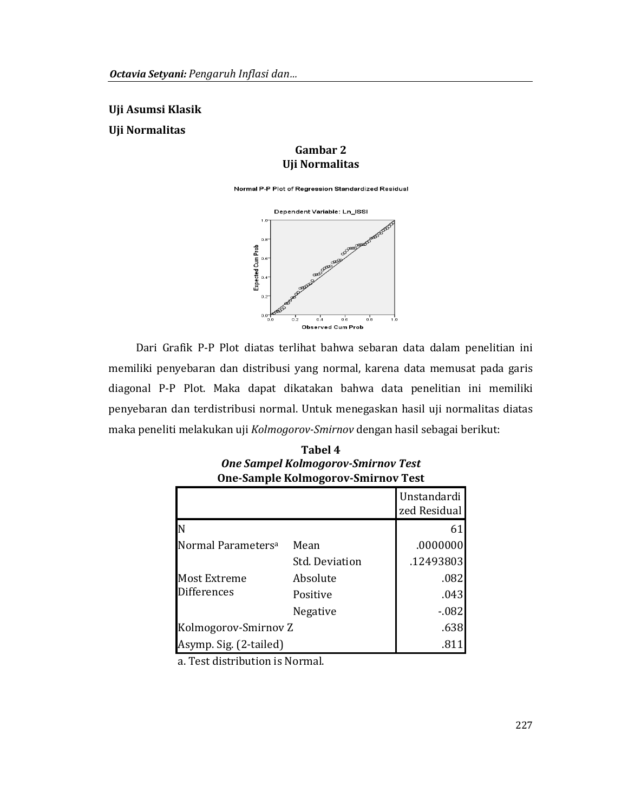Uji Asumsi Klasik

**Uji Normalitas** 

### Gambar 2 **Uji Normalitas**

Normal P-P Plot of Regression Standardized Residual



Dari Grafik P-P Plot diatas terlihat bahwa sebaran data dalam penelitian ini memiliki penyebaran dan distribusi yang normal, karena data memusat pada garis diagonal P-P Plot. Maka dapat dikatakan bahwa data penelitian ini memiliki penyebaran dan terdistribusi normal. Untuk menegaskan hasil uji normalitas diatas maka peneliti melakukan uji Kolmogorov-Smirnov dengan hasil sebagai berikut:

| <b>One-Sample Kolmogorov-Smirnov Test</b> |                      |                             |  |  |  |
|-------------------------------------------|----------------------|-----------------------------|--|--|--|
|                                           |                      | Unstandardi<br>zed Residual |  |  |  |
| ΙN                                        |                      | 61                          |  |  |  |
| Normal Parameters <sup>a</sup>            | Mean                 | .0000000                    |  |  |  |
|                                           | Std. Deviation       | .12493803                   |  |  |  |
| <b>Most Extreme</b>                       | Absolute             | .082                        |  |  |  |
| <b>Differences</b>                        | Positive             | .043                        |  |  |  |
|                                           | <b>Negative</b>      | $-0.082$                    |  |  |  |
|                                           | Kolmogorov-Smirnov Z |                             |  |  |  |
| Asymp. Sig. (2-tailed)                    |                      | .811                        |  |  |  |

Tabel 4 **One Sampel Kolmogorov-Smirnov Test** 

a. Test distribution is Normal.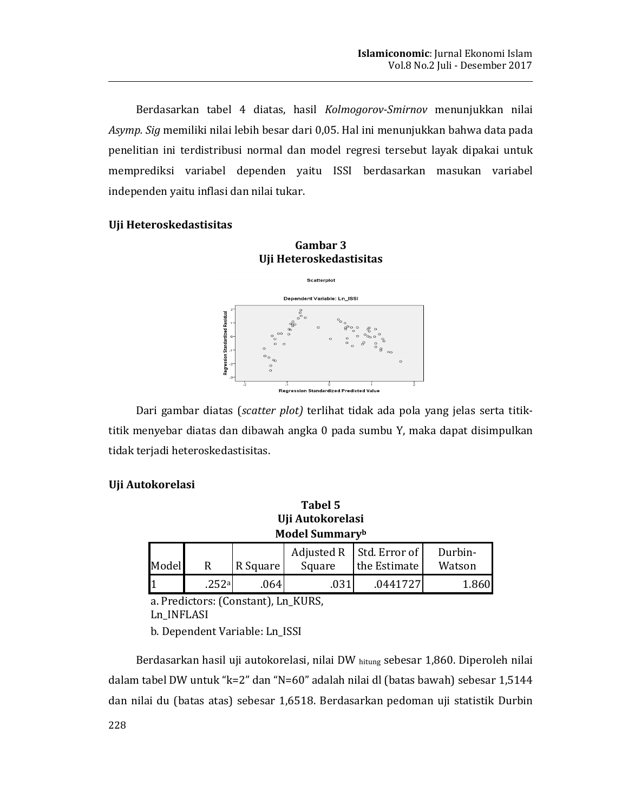Berdasarkan tabel 4 diatas, hasil Kolmogorov-Smirnov menunjukkan nilai Asymp. Sig memiliki nilai lebih besar dari 0,05. Hal ini menunjukkan bahwa data pada penelitian ini terdistribusi normal dan model regresi tersebut layak dipakai untuk memprediksi variabel dependen yaitu ISSI berdasarkan masukan variabel independen yaitu inflasi dan nilai tukar.

### Uji Heteroskedastisitas



Dari gambar diatas (scatter plot) terlihat tidak ada pola yang jelas serta titiktitik menyebar diatas dan dibawah angka 0 pada sumbu Y, maka dapat disimpulkan tidak terjadi heteroskedastisitas.

### Uji Autokorelasi

Tabel 5 Uji Autokorelasi **Model Summaryb** 

| Model |       | R Square | Square | Adjusted R   Std. Error of<br>the Estimate | Durbin-<br>Watson |
|-------|-------|----------|--------|--------------------------------------------|-------------------|
|       | .252a | .064     | .031   | .0441727                                   | 1.860             |

a. Predictors: (Constant), Ln\_KURS,

Ln\_INFLASI

b. Dependent Variable: Ln\_ISSI

Berdasarkan hasil uji autokorelasi, nilai DW hitung sebesar 1,860. Diperoleh nilai dalam tabel DW untuk "k=2" dan "N=60" adalah nilai dl (batas bawah) sebesar 1,5144 dan nilai du (batas atas) sebesar 1,6518. Berdasarkan pedoman uji statistik Durbin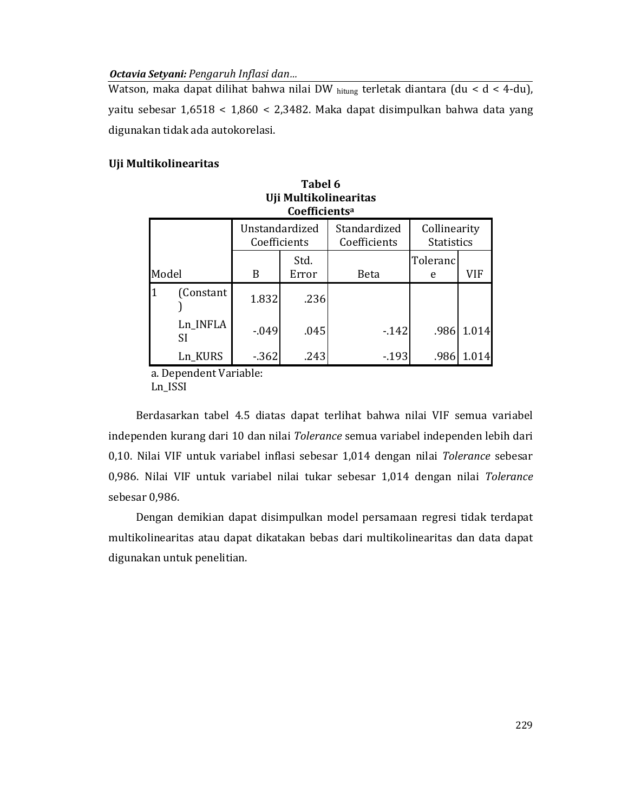Watson, maka dapat dilihat bahwa nilai DW hitung terletak diantara (du < d < 4-du), yaitu sebesar  $1,6518 < 1,860 < 2,3482$ . Maka dapat disimpulkan bahwa data yang digunakan tidak ada autokorelasi.

## Uji Multikolinearitas

|       | UII MUILIKOIINEAFILAS<br>Coefficients <sup>a</sup> |                                |               |                              |                                   |       |  |  |  |  |
|-------|----------------------------------------------------|--------------------------------|---------------|------------------------------|-----------------------------------|-------|--|--|--|--|
| Model |                                                    | Unstandardized<br>Coefficients |               | Standardized<br>Coefficients | Collinearity<br><b>Statistics</b> |       |  |  |  |  |
|       |                                                    | B                              | Std.<br>Error | <b>Beta</b>                  | Toleranc<br>e                     | VIF   |  |  |  |  |
|       | (Constant                                          | 1.832                          | .236          |                              |                                   |       |  |  |  |  |
|       | Ln INFLA<br><b>SI</b>                              | $-0.049$                       | .045          | $-142$                       | .986                              | 1.014 |  |  |  |  |
|       | Ln KURS                                            | $-362$                         | .243          | $-193$                       | .986                              | 1.014 |  |  |  |  |

| Tabel 6                     |
|-----------------------------|
| Uji Multikolinearitas       |
| $\mathcal{C}_{\mathcal{A}}$ |

a. Dependent Variable: Ln\_ISSI

Berdasarkan tabel 4.5 diatas dapat terlihat bahwa nilai VIF semua variabel independen kurang dari 10 dan nilai Tolerance semua variabel independen lebih dari 0,10. Nilai VIF untuk variabel inflasi sebesar 1,014 dengan nilai Tolerance sebesar 0,986. Nilai VIF untuk variabel nilai tukar sebesar 1,014 dengan nilai Tolerance sebesar 0,986.

Dengan demikian dapat disimpulkan model persamaan regresi tidak terdapat multikolinearitas atau dapat dikatakan bebas dari multikolinearitas dan data dapat digunakan untuk penelitian.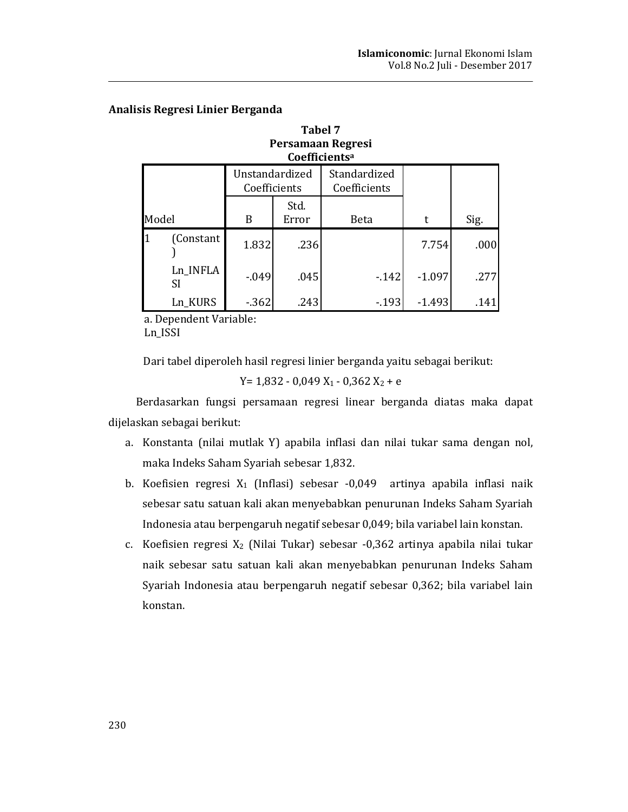| Persamaan Regresi<br>Coefficients <sup>a</sup> |                 |                                |               |                              |          |      |  |  |
|------------------------------------------------|-----------------|--------------------------------|---------------|------------------------------|----------|------|--|--|
|                                                |                 | Unstandardized<br>Coefficients |               | Standardized<br>Coefficients |          |      |  |  |
| Model                                          |                 | B                              | Std.<br>Error | Beta                         | t        | Sig. |  |  |
|                                                | (Constant)      | 1.832                          | .236          |                              | 7.754    | .000 |  |  |
|                                                | Ln_INFLA<br>SI. | $-0.049$                       | .045          | $-142$                       | $-1.097$ | .277 |  |  |
|                                                | Ln KURS         | $-362$                         | .243          | $-193$                       | $-1.493$ | .141 |  |  |

**Tabel 7** 

## Analisis Regresi Linier Berganda

a. Dependent Variable: Ln\_ISSI

Dari tabel diperoleh hasil regresi linier berganda yaitu sebagai berikut:

 $Y = 1,832 - 0,049$   $X_1 - 0,362$   $X_2 + e$ 

Berdasarkan fungsi persamaan regresi linear berganda diatas maka dapat dijelaskan sebagai berikut:

- a. Konstanta (nilai mutlak Y) apabila inflasi dan nilai tukar sama dengan nol, maka Indeks Saham Syariah sebesar 1,832.
- b. Koefisien regresi X<sub>1</sub> (Inflasi) sebesar -0,049 artinya apabila inflasi naik sebesar satu satuan kali akan menyebabkan penurunan Indeks Saham Syariah Indonesia atau berpengaruh negatif sebesar 0,049; bila variabel lain konstan.
- c. Koefisien regresi X<sub>2</sub> (Nilai Tukar) sebesar -0,362 artinya apabila nilai tukar naik sebesar satu satuan kali akan menyebabkan penurunan Indeks Saham Syariah Indonesia atau berpengaruh negatif sebesar 0,362; bila variabel lain konstan.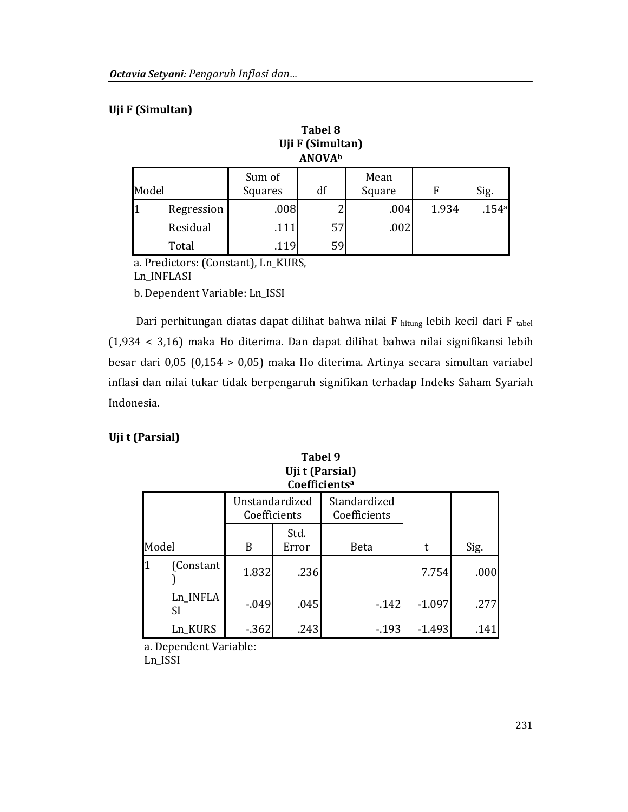## Uji F (Simultan)

|       | <b>Tabel 8</b><br>Uji F (Simultan)<br><b>ANOVA</b> b |                                           |    |      |       |       |  |  |  |  |
|-------|------------------------------------------------------|-------------------------------------------|----|------|-------|-------|--|--|--|--|
| Model |                                                      | Sum of<br>Mean<br>df<br>Square<br>Squares |    | F    | Sig.  |       |  |  |  |  |
|       | Regression                                           | .008                                      |    | .004 | 1.934 | .154a |  |  |  |  |
|       | Residual                                             | .111                                      | 57 | .002 |       |       |  |  |  |  |
|       | Total                                                | .119                                      | 59 |      |       |       |  |  |  |  |

a. Predictors: (Constant), Ln\_KURS, Ln\_INFLASI

b. Dependent Variable: Ln\_ISSI

Dari perhitungan diatas dapat dilihat bahwa nilai F hitung lebih kecil dari F tabel (1,934 < 3,16) maka Ho diterima. Dan dapat dilihat bahwa nilai signifikansi lebih besar dari  $0.05$  (0.154 > 0.05) maka Ho diterima. Artinya secara simultan variabel inflasi dan nilai tukar tidak berpengaruh signifikan terhadap Indeks Saham Syariah Indonesia.

**Tabel 9** 

## Uji t (Parsial)

|       | Uji t (Parsial)<br>Coefficients <sup>a</sup> |                                |               |                              |          |      |  |  |  |
|-------|----------------------------------------------|--------------------------------|---------------|------------------------------|----------|------|--|--|--|
| Model |                                              | Unstandardized<br>Coefficients |               | Standardized<br>Coefficients |          |      |  |  |  |
|       |                                              | B                              | Std.<br>Error | Beta                         | t        | Sig. |  |  |  |
|       | (Constant                                    | 1.832                          | .236          |                              | 7.754    | .000 |  |  |  |
|       | Ln_INFLA<br>SI                               | $-0.049$                       | .045          | $-142$                       | $-1.097$ | .277 |  |  |  |
|       | Ln_KURS                                      | $-362$                         | .243          | $-193$                       | $-1.493$ | .141 |  |  |  |

a. Dependent Variable: Ln\_ISSI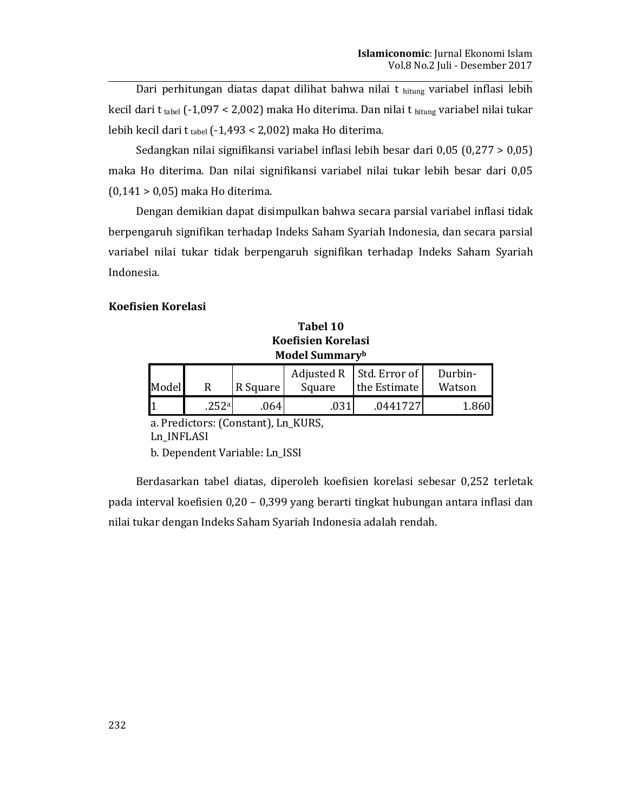Dari perhitungan diatas dapat dilihat bahwa nilai t hitung variabel inflasi lebih kecil dari t tabel (-1,097 < 2,002) maka Ho diterima. Dan nilai t hitung variabel nilai tukar lebih kecil dari t tabel (-1,493 < 2,002) maka Ho diterima.

Sedangkan nilai signifikansi variabel inflasi lebih besar dari 0,05  $(0,277 > 0,05)$ maka Ho diterima. Dan nilai signifikansi variabel nilai tukar lebih besar dari 0,05  $(0,141 > 0,05)$  maka Ho diterima.

Dengan demikian dapat disimpulkan bahwa secara parsial variabel inflasi tidak berpengaruh signifikan terhadap Indeks Saham Syariah Indonesia, dan secara parsial variabel nilai tukar tidak berpengaruh signifikan terhadap Indeks Saham Syariah Indonesia.

### **Koefisien Korelasi**

Tabel 10 **Koefisien Korelasi** Model Summaryb

|       |       |          |        | Adjusted R $\vert$ Std. Error of $\vert$ | Durbin- |
|-------|-------|----------|--------|------------------------------------------|---------|
| Model |       | R Square | Square | the Estimate                             | Watson  |
|       | .252a | 064      | .031   | .0441727                                 | 1.860   |

a. Predictors: (Constant), Ln\_KURS, Ln\_INFLASI

b. Dependent Variable: Ln\_ISSI

Berdasarkan tabel diatas, diperoleh koefisien korelasi sebesar 0,252 terletak pada interval koefisien 0,20 - 0,399 yang berarti tingkat hubungan antara inflasi dan nilai tukar dengan Indeks Saham Syariah Indonesia adalah rendah.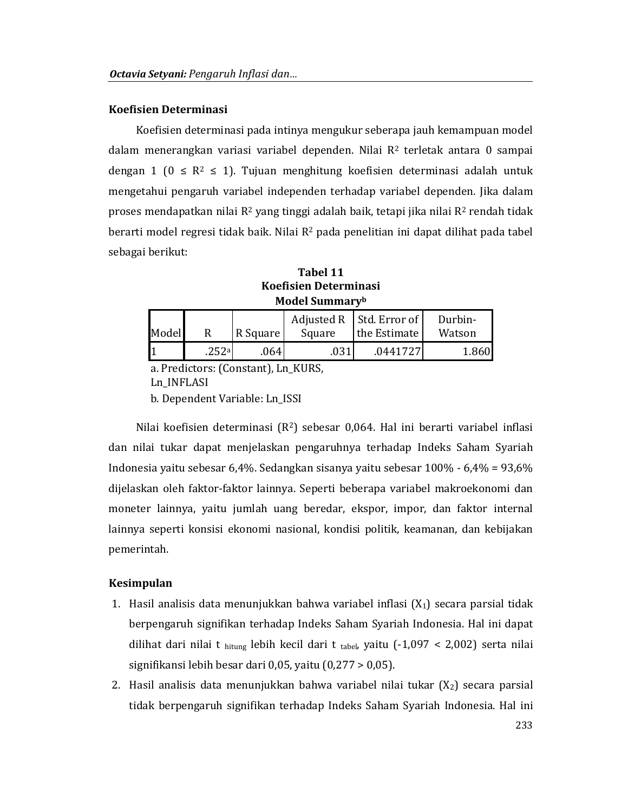### Koefisien Determinasi

Koefisien determinasi pada intinya mengukur seberapa jauh kemampuan model dalam menerangkan variasi variabel dependen. Nilai  $R<sup>2</sup>$  terletak antara 0 sampai dengan 1 ( $0 \le R^2 \le 1$ ). Tujuan menghitung koefisien determinasi adalah untuk mengetahui pengaruh variabel independen terhadap variabel dependen. Jika dalam proses mendapatkan nilai  $R^2$  yang tinggi adalah baik, tetapi jika nilai  $R^2$  rendah tidak berarti model regresi tidak baik. Nilai R<sup>2</sup> pada penelitian ini dapat dilihat pada tabel sebagai berikut:

Tabel 11 **Koefisien Determinasi Model Summaryb** 

|       |       |          |        | Adjusted R   Std. Error of | Durbin- |
|-------|-------|----------|--------|----------------------------|---------|
| Model |       | R Square | Square | the Estimate               | Watson  |
|       | .252a | .0641    | .031   | .0441727                   | 1.860   |

a. Predictors: (Constant), Ln KURS,

Ln\_INFLASI

b. Dependent Variable: Ln ISSI

Nilai koefisien determinasi  $(R^2)$  sebesar 0,064. Hal ini berarti variabel inflasi dan nilai tukar dapat menjelaskan pengaruhnya terhadap Indeks Saham Syariah Indonesia yaitu sebesar 6,4%. Sedangkan sisanya yaitu sebesar 100% - 6,4% = 93,6% dijelaskan oleh faktor-faktor lainnya. Seperti beberapa variabel makroekonomi dan moneter lainnya, yaitu jumlah uang beredar, ekspor, impor, dan faktor internal lainnya seperti konsisi ekonomi nasional, kondisi politik, keamanan, dan kebijakan pemerintah.

### Kesimpulan

- 1. Hasil analisis data menunjukkan bahwa variabel inflasi  $(X_1)$  secara parsial tidak berpengaruh signifikan terhadap Indeks Saham Syariah Indonesia. Hal ini dapat dilihat dari nilai t hitung lebih kecil dari t tabel, yaitu  $(-1,097 < 2,002)$  serta nilai signifikansi lebih besar dari 0,05, yaitu  $(0,277 > 0,05)$ .
- 2. Hasil analisis data menunjukkan bahwa variabel nilai tukar (X<sub>2</sub>) secara parsial tidak berpengaruh signifikan terhadap Indeks Saham Syariah Indonesia. Hal ini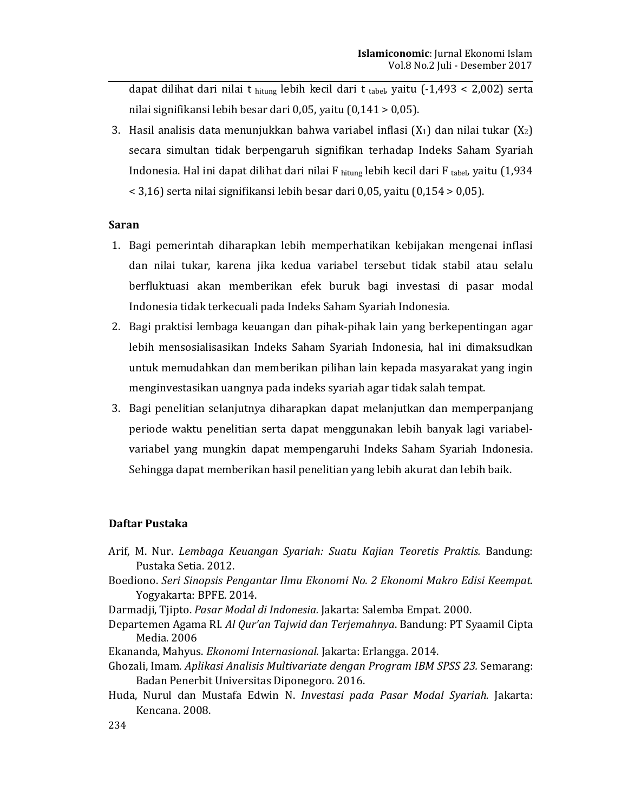dapat dilihat dari nilai t hitung lebih kecil dari t tabel, yaitu  $(-1,493 < 2,002)$  serta nilai signifikansi lebih besar dari 0,05, yaitu  $(0,141 > 0,05)$ .

3. Hasil analisis data menunjukkan bahwa variabel inflasi  $(X_1)$  dan nilai tukar  $(X_2)$ secara simultan tidak berpengaruh signifikan terhadap Indeks Saham Syariah Indonesia. Hal ini dapat dilihat dari nilai F  $_{\text{hitung}}$  lebih kecil dari F tabel, yaitu (1,934  $\leq$  3,16) serta nilai signifikansi lebih besar dari 0,05, yaitu (0,154 > 0,05).

### **Saran**

- 1. Bagi pemerintah diharapkan lebih memperhatikan kebijakan mengenai inflasi dan nilai tukar, karena jika kedua variabel tersebut tidak stabil atau selalu berfluktuasi akan memberikan efek buruk bagi investasi di pasar modal Indonesia tidak terkecuali pada Indeks Saham Syariah Indonesia.
- 2. Bagi praktisi lembaga keuangan dan pihak-pihak lain yang berkepentingan agar lebih mensosialisasikan Indeks Saham Syariah Indonesia, hal ini dimaksudkan untuk memudahkan dan memberikan pilihan lain kepada masyarakat yang ingin menginvestasikan uangnya pada indeks syariah agar tidak salah tempat.
- 3. Bagi penelitian selanjutnya diharapkan dapat melanjutkan dan memperpanjang periode waktu penelitian serta dapat menggunakan lebih banyak lagi variabelvariabel yang mungkin dapat mempengaruhi Indeks Saham Syariah Indonesia. Sehingga dapat memberikan hasil penelitian yang lebih akurat dan lebih baik.

### Daftar Pustaka

- Arif, M. Nur. Lembaga Keuangan Syariah: Suatu Kajian Teoretis Praktis. Bandung: Pustaka Setia. 2012.
- Boediono. Seri Sinopsis Pengantar Ilmu Ekonomi No. 2 Ekonomi Makro Edisi Keempat. Yogyakarta: BPFE. 2014.
- Darmadji, Tjipto. Pasar Modal di Indonesia. Jakarta: Salemba Empat. 2000.
- Departemen Agama RI. Al Qur'an Tajwid dan Terjemahnya. Bandung: PT Syaamil Cipta Media. 2006
- Ekananda, Mahyus. Ekonomi Internasional. Jakarta: Erlangga. 2014.
- Ghozali, Imam. Aplikasi Analisis Multivariate dengan Program IBM SPSS 23. Semarang: Badan Penerbit Universitas Diponegoro. 2016.
- Huda, Nurul dan Mustafa Edwin N. Investasi pada Pasar Modal Syariah. Jakarta: Kencana. 2008.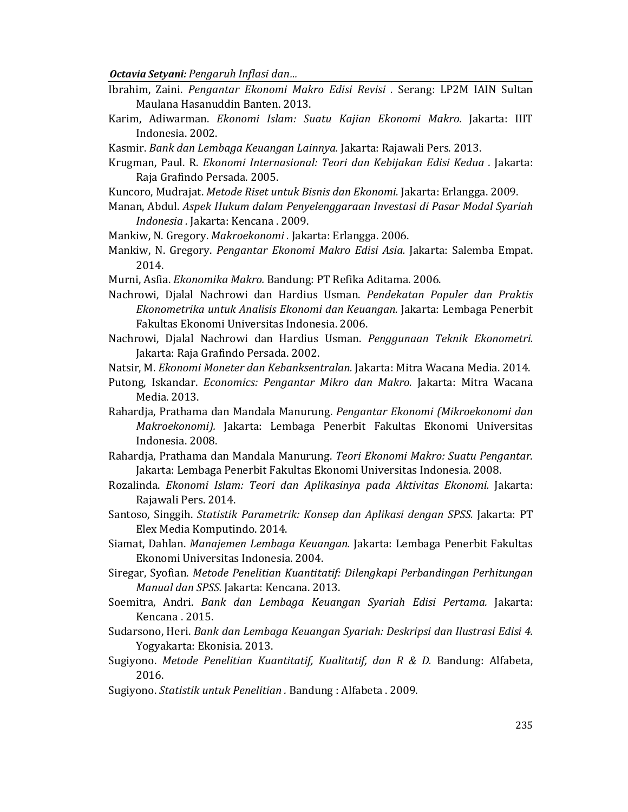- Ibrahim, Zaini. Pengantar Ekonomi Makro Edisi Revisi . Serang: LP2M IAIN Sultan Maulana Hasanuddin Banten. 2013.
- Karim, Adiwarman. Ekonomi Islam: Suatu Kajian Ekonomi Makro. Jakarta: IIIT Indonesia. 2002.
- Kasmir. Bank dan Lembaga Keuangan Lainnya. Jakarta: Rajawali Pers. 2013.
- Krugman, Paul. R. Ekonomi Internasional: Teori dan Kebijakan Edisi Kedua. Jakarta: Raja Grafindo Persada. 2005.
- Kuncoro, Mudrajat. Metode Riset untuk Bisnis dan Ekonomi. Jakarta: Erlangga. 2009.
- Manan, Abdul. Aspek Hukum dalam Penyelenggaraan Investasi di Pasar Modal Syariah Indonesia. Jakarta: Kencana. 2009.
- Mankiw, N. Gregory. Makroekonomi. Jakarta: Erlangga. 2006.
- Mankiw, N. Gregory. Pengantar Ekonomi Makro Edisi Asia. Jakarta: Salemba Empat. 2014.
- Murni, Asfia. Ekonomika Makro. Bandung: PT Refika Aditama. 2006.
- Nachrowi, Djalal Nachrowi dan Hardius Usman. Pendekatan Populer dan Praktis Ekonometrika untuk Analisis Ekonomi dan Keuangan. Jakarta: Lembaga Penerbit Fakultas Ekonomi Universitas Indonesia, 2006.
- Nachrowi, Dialal Nachrowi dan Hardius Usman. Penggunaan Teknik Ekonometri. Jakarta: Raja Grafindo Persada. 2002.
- Natsir, M. Ekonomi Moneter dan Kebanksentralan. Jakarta: Mitra Wacana Media. 2014.
- Putong, Iskandar. Economics: Pengantar Mikro dan Makro. Jakarta: Mitra Wacana Media. 2013.
- Rahardja, Prathama dan Mandala Manurung. Pengantar Ekonomi (Mikroekonomi dan Makroekonomi). Jakarta: Lembaga Penerbit Fakultas Ekonomi Universitas Indonesia. 2008.
- Rahardja, Prathama dan Mandala Manurung. Teori Ekonomi Makro: Suatu Pengantar. Jakarta: Lembaga Penerbit Fakultas Ekonomi Universitas Indonesia. 2008.
- Rozalinda. Ekonomi Islam: Teori dan Aplikasinya pada Aktivitas Ekonomi. Jakarta: Rajawali Pers. 2014.
- Santoso, Singgih. Statistik Parametrik: Konsep dan Aplikasi dengan SPSS. Jakarta: PT Elex Media Komputindo. 2014.
- Siamat, Dahlan. Mangjemen Lembaga Keuangan. Jakarta: Lembaga Penerbit Fakultas Ekonomi Universitas Indonesia. 2004.
- Siregar, Syofian. Metode Penelitian Kuantitatif: Dilengkapi Perbandingan Perhitungan Manual dan SPSS. Jakarta: Kencana. 2013.
- Soemitra, Andri. Bank dan Lembaga Keuangan Syariah Edisi Pertama. Jakarta: Kencana. 2015.
- Sudarsono, Heri. Bank dan Lembaga Keuangan Syariah: Deskripsi dan Ilustrasi Edisi 4. Yogyakarta: Ekonisia. 2013.
- Sugiyono. Metode Penelitian Kuantitatif, Kualitatif, dan R & D. Bandung: Alfabeta, 2016.
- Sugiyono. Statistik untuk Penelitian. Bandung: Alfabeta. 2009.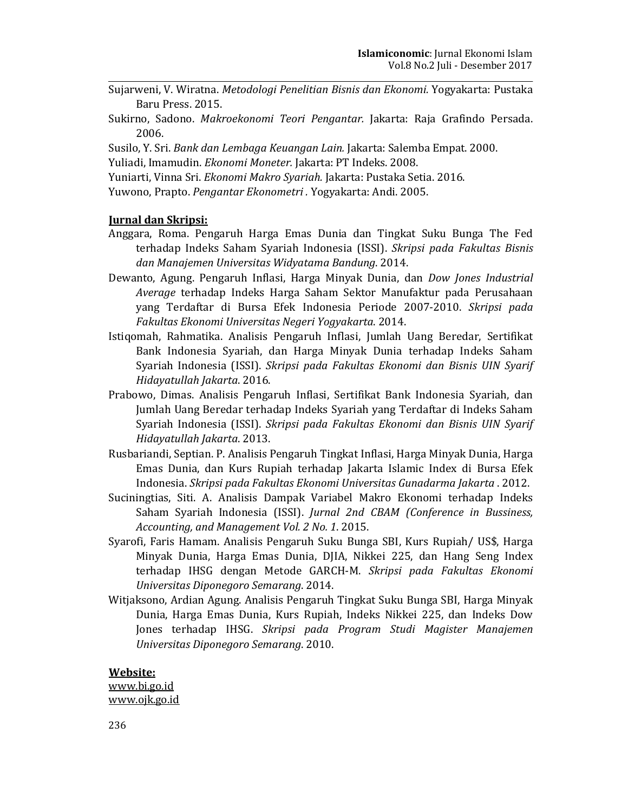- Sujarweni, V. Wiratna. Metodologi Penelitian Bisnis dan Ekonomi. Yogyakarta: Pustaka Baru Press, 2015.
- Sukirno, Sadono. Makroekonomi Teori Pengantar. Jakarta: Raja Grafindo Persada. 2006.
- Susilo, Y. Sri. Bank dan Lembaga Keuangan Lain. Jakarta: Salemba Empat. 2000.
- Yuliadi, Imamudin. Ekonomi Moneter. Jakarta: PT Indeks. 2008.
- Yuniarti, Vinna Sri. Ekonomi Makro Syariah. Jakarta: Pustaka Setia. 2016.
- Yuwono, Prapto. Pengantar Ekonometri. Yogyakarta: Andi. 2005.

### **Jurnal dan Skripsi:**

- Anggara, Roma. Pengaruh Harga Emas Dunia dan Tingkat Suku Bunga The Fed terhadap Indeks Saham Syariah Indonesia (ISSI). Skripsi pada Fakultas Bisnis dan Manajemen Universitas Widyatama Bandung. 2014.
- Dewanto, Agung. Pengaruh Inflasi, Harga Minyak Dunia, dan *Dow Jones Industrial* Average terhadap Indeks Harga Saham Sektor Manufaktur pada Perusahaan vang Terdaftar di Bursa Efek Indonesia Periode 2007-2010. Skripsi pada Fakultas Ekonomi Universitas Negeri Yogyakarta. 2014.
- Istigomah, Rahmatika. Analisis Pengaruh Inflasi, Jumlah Uang Beredar, Sertifikat Bank Indonesia Syariah, dan Harga Minyak Dunia terhadap Indeks Saham Syariah Indonesia (ISSI). Skripsi pada Fakultas Ekonomi dan Bisnis UIN Syarif Hidayatullah Jakarta. 2016.
- Prabowo, Dimas. Analisis Pengaruh Inflasi, Sertifikat Bank Indonesia Syariah, dan Jumlah Uang Beredar terhadap Indeks Syariah yang Terdaftar di Indeks Saham Syariah Indonesia (ISSI). Skripsi pada Fakultas Ekonomi dan Bisnis UIN Syarif Hidayatullah Jakarta. 2013.
- Rusbariandi, Septian. P. Analisis Pengaruh Tingkat Inflasi, Harga Minyak Dunia, Harga Emas Dunia, dan Kurs Rupiah terhadap Jakarta Islamic Index di Bursa Efek Indonesia. Skripsi pada Fakultas Ekonomi Universitas Gunadarma Jakarta . 2012.
- Suciningtias, Siti. A. Analisis Dampak Variabel Makro Ekonomi terhadap Indeks Saham Syariah Indonesia (ISSI). Jurnal 2nd CBAM (Conference in Bussiness, Accounting, and Management Vol. 2 No. 1. 2015.
- Syarofi, Faris Hamam. Analisis Pengaruh Suku Bunga SBI, Kurs Rupiah/ US\$, Harga Minyak Dunia, Harga Emas Dunia, DJIA, Nikkei 225, dan Hang Seng Index terhadap IHSG dengan Metode GARCH-M. Skripsi pada Fakultas Ekonomi Universitas Diponegoro Semarang. 2014.
- Witjaksono, Ardian Agung. Analisis Pengaruh Tingkat Suku Bunga SBI, Harga Minyak Dunia, Harga Emas Dunia, Kurs Rupiah, Indeks Nikkei 225, dan Indeks Dow Jones terhadap IHSG. Skripsi pada Program Studi Magister Manajemen Universitas Diponegoro Semarang. 2010.

Website: www.bi.go.id www.ojk.go.id